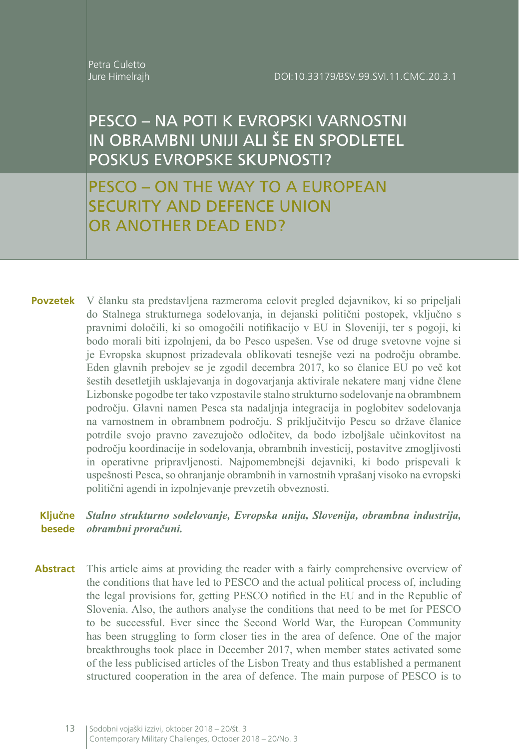# PESCO – NA POTI K EVROPSKI VARNOSTNI IN OBRAMBNI UNIJI ALI ŠE EN SPODLETEL POSKUS EVROPSKE SKUPNOSTI?

# PESCO – ON THE WAY TO A EUROPEAN SECURITY AND DEFENCE UNION OR ANOTHER DEAD END?

V članku sta predstavljena razmeroma celovit pregled dejavnikov, ki so pripeljali do Stalnega strukturnega sodelovanja, in dejanski politični postopek, vključno s pravnimi določili, ki so omogočili notifikacijo v EU in Sloveniji, ter s pogoji, ki bodo morali biti izpolnjeni, da bo Pesco uspešen. Vse od druge svetovne vojne si je Evropska skupnost prizadevala oblikovati tesnejše vezi na področju obrambe. Eden glavnih prebojev se je zgodil decembra 2017, ko so članice EU po več kot šestih desetletjih usklajevanja in dogovarjanja aktivirale nekatere manj vidne člene Lizbonske pogodbe ter tako vzpostavile stalno strukturno sodelovanje na obrambnem področju. Glavni namen Pesca sta nadaljnja integracija in poglobitev sodelovanja na varnostnem in obrambnem področju. S priključitvijo Pescu so države članice potrdile svojo pravno zavezujočo odločitev, da bodo izboljšale učinkovitost na področju koordinacije in sodelovanja, obrambnih investicij, postavitve zmogljivosti in operativne pripravljenosti. Najpomembnejši dejavniki, ki bodo prispevali k uspešnosti Pesca, so ohranjanje obrambnih in varnostnih vprašanj visoko na evropski politični agendi in izpolnjevanje prevzetih obveznosti. **Povzetek**

#### *Stalno strukturno sodelovanje, Evropska unija, Slovenija, obrambna industrija, obrambni proračuni.* **Ključne besede**

This article aims at providing the reader with a fairly comprehensive overview of the conditions that have led to PESCO and the actual political process of, including the legal provisions for, getting PESCO notified in the EU and in the Republic of Slovenia. Also, the authors analyse the conditions that need to be met for PESCO to be successful. Ever since the Second World War, the European Community has been struggling to form closer ties in the area of defence. One of the major breakthroughs took place in December 2017, when member states activated some of the less publicised articles of the Lisbon Treaty and thus established a permanent structured cooperation in the area of defence. The main purpose of PESCO is to **Abstract**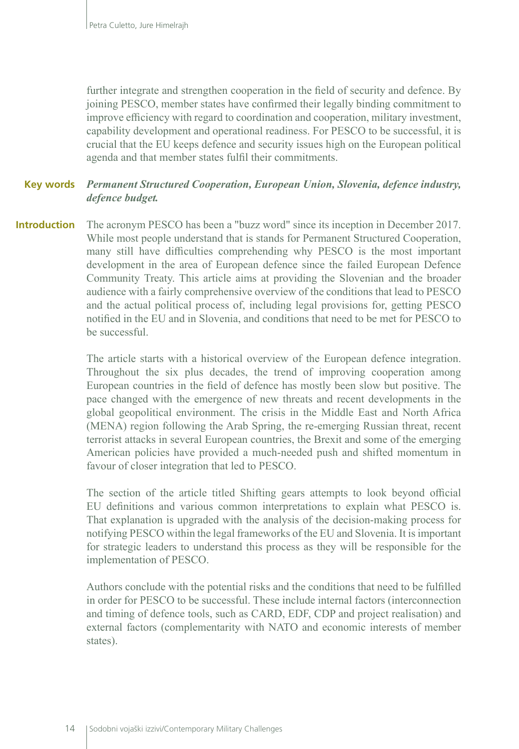further integrate and strengthen cooperation in the field of security and defence. By joining PESCO, member states have confirmed their legally binding commitment to improve efficiency with regard to coordination and cooperation, military investment, capability development and operational readiness. For PESCO to be successful, it is crucial that the EU keeps defence and security issues high on the European political agenda and that member states fulfil their commitments.

#### *Permanent Structured Cooperation, European Union, Slovenia, defence industry, defence budget.* **Key words**

The acronym PESCO has been a "buzz word" since its inception in December 2017. While most people understand that is stands for Permanent Structured Cooperation, many still have difficulties comprehending why PESCO is the most important development in the area of European defence since the failed European Defence Community Treaty. This article aims at providing the Slovenian and the broader audience with a fairly comprehensive overview of the conditions that lead to PESCO and the actual political process of, including legal provisions for, getting PESCO notified in the EU and in Slovenia, and conditions that need to be met for PESCO to be successful. **Introduction**

> The article starts with a historical overview of the European defence integration. Throughout the six plus decades, the trend of improving cooperation among European countries in the field of defence has mostly been slow but positive. The pace changed with the emergence of new threats and recent developments in the global geopolitical environment. The crisis in the Middle East and North Africa (MENA) region following the Arab Spring, the re-emerging Russian threat, recent terrorist attacks in several European countries, the Brexit and some of the emerging American policies have provided a much-needed push and shifted momentum in favour of closer integration that led to PESCO.

> The section of the article titled Shifting gears attempts to look beyond official EU definitions and various common interpretations to explain what PESCO is. That explanation is upgraded with the analysis of the decision-making process for notifying PESCO within the legal frameworks of the EU and Slovenia. It is important for strategic leaders to understand this process as they will be responsible for the implementation of PESCO.

> Authors conclude with the potential risks and the conditions that need to be fulfilled in order for PESCO to be successful. These include internal factors (interconnection and timing of defence tools, such as CARD, EDF, CDP and project realisation) and external factors (complementarity with NATO and economic interests of member states).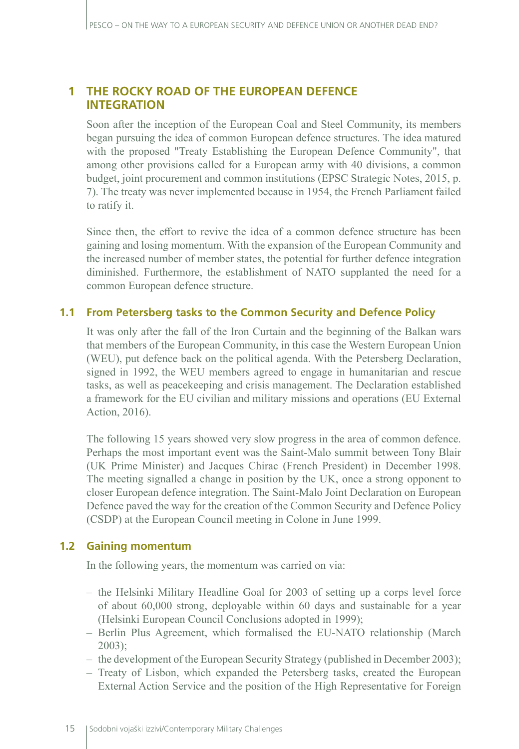# **1 THE ROCKY ROAD OF THE EUROPEAN DEFENCE INTEGRATION**

Soon after the inception of the European Coal and Steel Community, its members began pursuing the idea of common European defence structures. The idea matured with the proposed "Treaty Establishing the European Defence Community", that among other provisions called for a European army with 40 divisions, a common budget, joint procurement and common institutions (EPSC Strategic Notes, 2015, p. 7). The treaty was never implemented because in 1954, the French Parliament failed to ratify it.

Since then, the effort to revive the idea of a common defence structure has been gaining and losing momentum. With the expansion of the European Community and the increased number of member states, the potential for further defence integration diminished. Furthermore, the establishment of NATO supplanted the need for a common European defence structure.

## **1.1 From Petersberg tasks to the Common Security and Defence Policy**

It was only after the fall of the Iron Curtain and the beginning of the Balkan wars that members of the European Community, in this case the Western European Union (WEU), put defence back on the political agenda. With the Petersberg Declaration, signed in 1992, the WEU members agreed to engage in humanitarian and rescue tasks, as well as peacekeeping and crisis management. The Declaration established a framework for the EU civilian and military missions and operations (EU External Action, 2016).

The following 15 years showed very slow progress in the area of common defence. Perhaps the most important event was the Saint-Malo summit between Tony Blair (UK Prime Minister) and Jacques Chirac (French President) in December 1998. The meeting signalled a change in position by the UK, once a strong opponent to closer European defence integration. The Saint-Malo Joint Declaration on European Defence paved the way for the creation of the Common Security and Defence Policy (CSDP) at the European Council meeting in Colone in June 1999.

#### **1.2 Gaining momentum**

In the following years, the momentum was carried on via:

- the Helsinki Military Headline Goal for 2003 of setting up a corps level force of about 60,000 strong, deployable within 60 days and sustainable for a year (Helsinki European Council Conclusions adopted in 1999);
- Berlin Plus Agreement, which formalised the EU-NATO relationship (March 2003);
- the development of the European Security Strategy (published in December 2003);
- Treaty of Lisbon, which expanded the Petersberg tasks, created the European External Action Service and the position of the High Representative for Foreign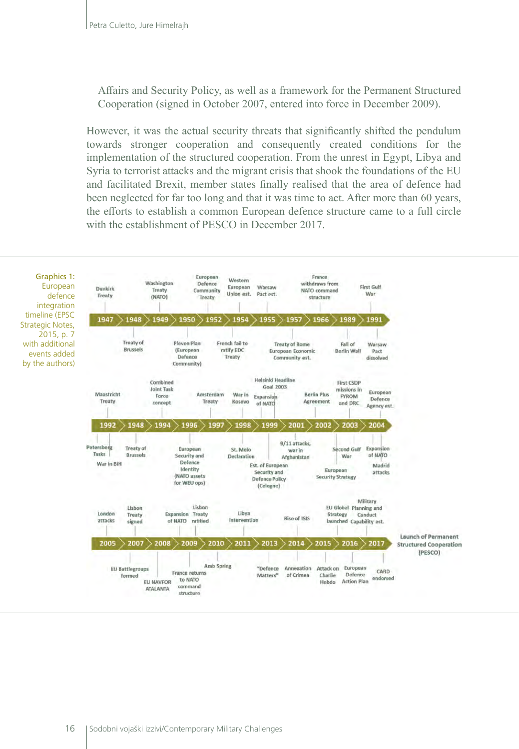Affairs and Security Policy, as well as a framework for the Permanent Structured Cooperation (signed in October 2007, entered into force in December 2009).

However, it was the actual security threats that significantly shifted the pendulum towards stronger cooperation and consequently created conditions for the implementation of the structured cooperation. From the unrest in Egypt, Libya and Syria to terrorist attacks and the migrant crisis that shook the foundations of the EU and facilitated Brexit, member states finally realised that the area of defence had been neglected for far too long and that it was time to act. After more than 60 years, the efforts to establish a common European defence structure came to a full circle with the establishment of PESCO in December 2017.

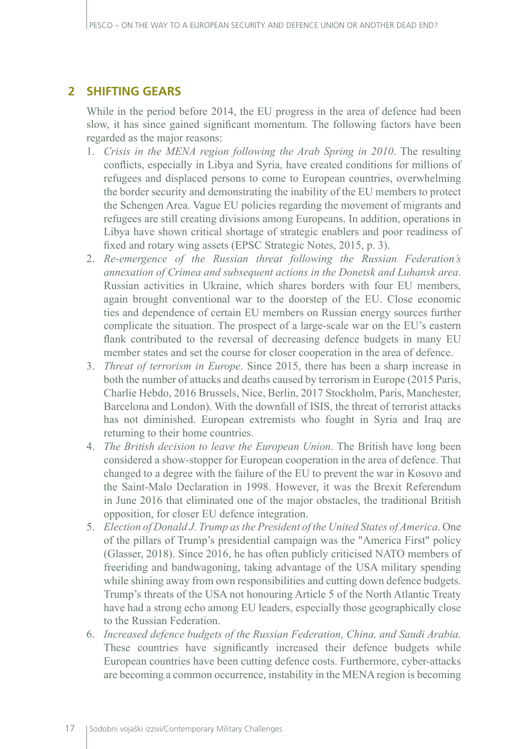# **2 SHIFTING GEARS**

While in the period before 2014, the EU progress in the area of defence had been slow, it has since gained significant momentum. The following factors have been regarded as the major reasons:

- 1. *Crisis in the MENA region following the Arab Spring in 2010*. The resulting conflicts, especially in Libya and Syria, have created conditions for millions of refugees and displaced persons to come to European countries, overwhelming the border security and demonstrating the inability of the EU members to protect the Schengen Area. Vague EU policies regarding the movement of migrants and refugees are still creating divisions among Europeans. In addition, operations in Libya have shown critical shortage of strategic enablers and poor readiness of fixed and rotary wing assets (EPSC Strategic Notes, 2015, p. 3).
- 2. *Re-emergence of the Russian threat following the Russian Federation's annexation of Crimea and subsequent actions in the Donetsk and Luhansk area*. Russian activities in Ukraine, which shares borders with four EU members, again brought conventional war to the doorstep of the EU. Close economic ties and dependence of certain EU members on Russian energy sources further complicate the situation. The prospect of a large-scale war on the EU's eastern flank contributed to the reversal of decreasing defence budgets in many EU member states and set the course for closer cooperation in the area of defence.
- 3. *Threat of terrorism in Europe*. Since 2015, there has been a sharp increase in both the number of attacks and deaths caused by terrorism in Europe (2015 Paris, Charlie Hebdo, 2016 Brussels, Nice, Berlin, 2017 Stockholm, Paris, Manchester, Barcelona and London). With the downfall of ISIS, the threat of terrorist attacks has not diminished. European extremists who fought in Syria and Iraq are returning to their home countries.
- 4. *The British decision to leave the European Union*. The British have long been considered a show-stopper for European cooperation in the area of defence. That changed to a degree with the failure of the EU to prevent the war in Kosovo and the Saint-Malo Declaration in 1998. However, it was the Brexit Referendum in June 2016 that eliminated one of the major obstacles, the traditional British opposition, for closer EU defence integration.
- 5. *Election of Donald J. Trump as the President of the United States of America*. One of the pillars of Trump's presidential campaign was the "America First" policy (Glasser, 2018). Since 2016, he has often publicly criticised NATO members of freeriding and bandwagoning, taking advantage of the USA military spending while shining away from own responsibilities and cutting down defence budgets. Trump's threats of the USA not honouring Article 5 of the North Atlantic Treaty have had a strong echo among EU leaders, especially those geographically close to the Russian Federation.
- 6. *Increased defence budgets of the Russian Federation, China, and Saudi Arabia.*  These countries have significantly increased their defence budgets while European countries have been cutting defence costs. Furthermore, cyber-attacks are becoming a common occurrence, instability in the MENA region is becoming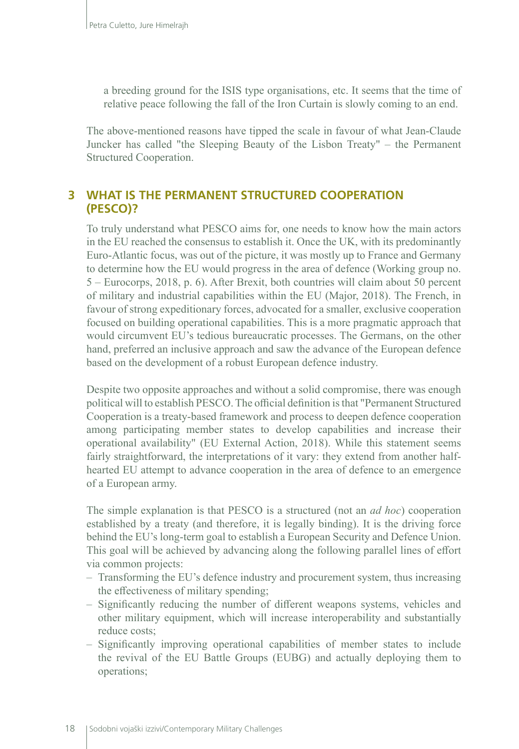a breeding ground for the ISIS type organisations, etc. It seems that the time of relative peace following the fall of the Iron Curtain is slowly coming to an end.

The above-mentioned reasons have tipped the scale in favour of what Jean-Claude Juncker has called "the Sleeping Beauty of the Lisbon Treaty" – the Permanent Structured Cooperation.

# **3 WHAT IS THE PERMANENT STRUCTURED COOPERATION (PESCO)?**

To truly understand what PESCO aims for, one needs to know how the main actors in the EU reached the consensus to establish it. Once the UK, with its predominantly Euro-Atlantic focus, was out of the picture, it was mostly up to France and Germany to determine how the EU would progress in the area of defence (Working group no. 5 – Eurocorps, 2018, p. 6). After Brexit, both countries will claim about 50 percent of military and industrial capabilities within the EU (Major, 2018). The French, in favour of strong expeditionary forces, advocated for a smaller, exclusive cooperation focused on building operational capabilities. This is a more pragmatic approach that would circumvent EU's tedious bureaucratic processes. The Germans, on the other hand, preferred an inclusive approach and saw the advance of the European defence based on the development of a robust European defence industry.

Despite two opposite approaches and without a solid compromise, there was enough political will to establish PESCO. The official definition is that "Permanent Structured Cooperation is a treaty-based framework and process to deepen defence cooperation among participating member states to develop capabilities and increase their operational availability" (EU External Action, 2018). While this statement seems fairly straightforward, the interpretations of it vary: they extend from another halfhearted EU attempt to advance cooperation in the area of defence to an emergence of a European army.

The simple explanation is that PESCO is a structured (not an *ad hoc*) cooperation established by a treaty (and therefore, it is legally binding). It is the driving force behind the EU's long-term goal to establish a European Security and Defence Union. This goal will be achieved by advancing along the following parallel lines of effort via common projects:

- Transforming the EU's defence industry and procurement system, thus increasing the effectiveness of military spending;
- Significantly reducing the number of different weapons systems, vehicles and other military equipment, which will increase interoperability and substantially reduce costs;
- Significantly improving operational capabilities of member states to include the revival of the EU Battle Groups (EUBG) and actually deploying them to operations;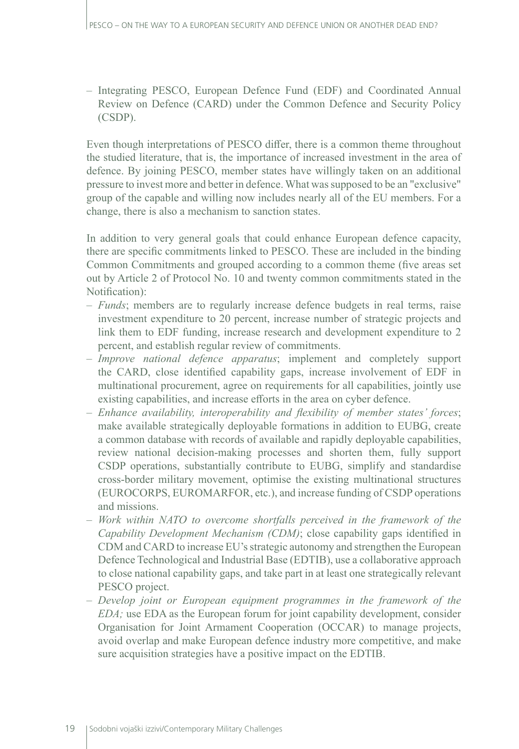– Integrating PESCO, European Defence Fund (EDF) and Coordinated Annual Review on Defence (CARD) under the Common Defence and Security Policy (CSDP).

Even though interpretations of PESCO differ, there is a common theme throughout the studied literature, that is, the importance of increased investment in the area of defence. By joining PESCO, member states have willingly taken on an additional pressure to invest more and better in defence. What was supposed to be an "exclusive" group of the capable and willing now includes nearly all of the EU members. For a change, there is also a mechanism to sanction states.

In addition to very general goals that could enhance European defence capacity, there are specific commitments linked to PESCO. These are included in the binding Common Commitments and grouped according to a common theme (five areas set out by Article 2 of Protocol No. 10 and twenty common commitments stated in the Notification):

- *Funds*; members are to regularly increase defence budgets in real terms, raise investment expenditure to 20 percent, increase number of strategic projects and link them to EDF funding, increase research and development expenditure to 2 percent, and establish regular review of commitments.
- *Improve national defence apparatus*; implement and completely support the CARD, close identified capability gaps, increase involvement of EDF in multinational procurement, agree on requirements for all capabilities, jointly use existing capabilities, and increase efforts in the area on cyber defence.
- *Enhance availability, interoperability and flexibility of member states' forces*; make available strategically deployable formations in addition to EUBG, create a common database with records of available and rapidly deployable capabilities, review national decision-making processes and shorten them, fully support CSDP operations, substantially contribute to EUBG, simplify and standardise cross-border military movement, optimise the existing multinational structures (EUROCORPS, EUROMARFOR, etc.), and increase funding of CSDP operations and missions.
- *Work within NATO to overcome shortfalls perceived in the framework of the Capability Development Mechanism (CDM)*; close capability gaps identified in CDM and CARD to increase EU's strategic autonomy and strengthen the European Defence Technological and Industrial Base (EDTIB), use a collaborative approach to close national capability gaps, and take part in at least one strategically relevant PESCO project.
- *Develop joint or European equipment programmes in the framework of the EDA;* use EDA as the European forum for joint capability development, consider Organisation for Joint Armament Cooperation (OCCAR) to manage projects, avoid overlap and make European defence industry more competitive, and make sure acquisition strategies have a positive impact on the EDTIB.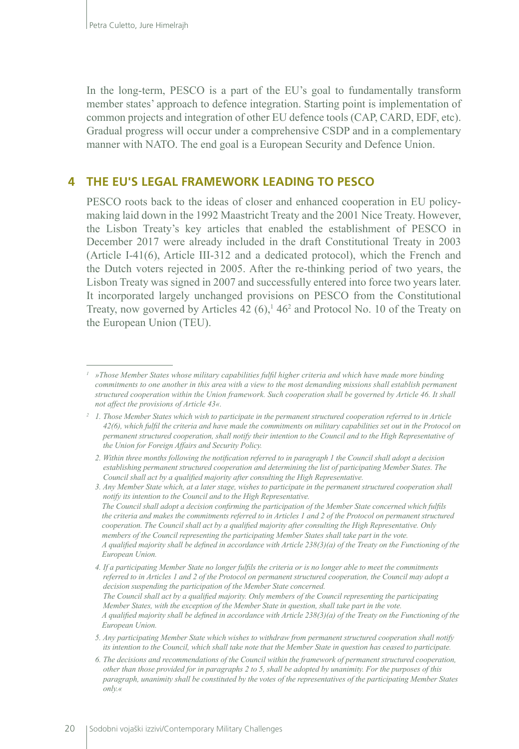In the long-term, PESCO is a part of the EU's goal to fundamentally transform member states' approach to defence integration. Starting point is implementation of common projects and integration of other EU defence tools (CAP, CARD, EDF, etc). Gradual progress will occur under a comprehensive CSDP and in a complementary manner with NATO. The end goal is a European Security and Defence Union.

# **4 THE EU'S LEGAL FRAMEWORK LEADING TO PESCO**

PESCO roots back to the ideas of closer and enhanced cooperation in EU policymaking laid down in the 1992 Maastricht Treaty and the 2001 Nice Treaty. However, the Lisbon Treaty's key articles that enabled the establishment of PESCO in December 2017 were already included in the draft Constitutional Treaty in 2003 (Article I-41(6), Article III-312 and a dedicated protocol), which the French and the Dutch voters rejected in 2005. After the re-thinking period of two years, the Lisbon Treaty was signed in 2007 and successfully entered into force two years later. It incorporated largely unchanged provisions on PESCO from the Constitutional Treaty, now governed by Articles  $42 (6)$ ,<sup>1</sup>  $46<sup>2</sup>$  and Protocol No. 10 of the Treaty on the European Union (TEU).

- *5. Any participating Member State which wishes to withdraw from permanent structured cooperation shall notify its intention to the Council, which shall take note that the Member State in question has ceased to participate.*
- *6. The decisions and recommendations of the Council within the framework of permanent structured cooperation, other than those provided for in paragraphs 2 to 5, shall be adopted by unanimity. For the purposes of this paragraph, unanimity shall be constituted by the votes of the representatives of the participating Member States only.«*

*<sup>1</sup> »Those Member States whose military capabilities fulfil higher criteria and which have made more binding commitments to one another in this area with a view to the most demanding missions shall establish permanent structured cooperation within the Union framework. Such cooperation shall be governed by Article 46. It shall not affect the provisions of Article 43«.*

*<sup>2</sup> 1. Those Member States which wish to participate in the permanent structured cooperation referred to in Article 42(6), which fulfil the criteria and have made the commitments on military capabilities set out in the Protocol on permanent structured cooperation, shall notify their intention to the Council and to the High Representative of the Union for Foreign Affairs and Security Policy.*

*<sup>2.</sup> Within three months following the notification referred to in paragraph 1 the Council shall adopt a decision establishing permanent structured cooperation and determining the list of participating Member States. The Council shall act by a qualified majority after consulting the High Representative.*

*<sup>3.</sup> Any Member State which, at a later stage, wishes to participate in the permanent structured cooperation shall notify its intention to the Council and to the High Representative. The Council shall adopt a decision confirming the participation of the Member State concerned which fulfils the criteria and makes the commitments referred to in Articles 1 and 2 of the Protocol on permanent structured cooperation. The Council shall act by a qualified majority after consulting the High Representative. Only members of the Council representing the participating Member States shall take part in the vote. A qualified majority shall be defined in accordance with Article 238(3)(a) of the Treaty on the Functioning of the European Union.*

*<sup>4.</sup> If a participating Member State no longer fulfils the criteria or is no longer able to meet the commitments referred to in Articles 1 and 2 of the Protocol on permanent structured cooperation, the Council may adopt a decision suspending the participation of the Member State concerned. The Council shall act by a qualified majority. Only members of the Council representing the participating Member States, with the exception of the Member State in question, shall take part in the vote. A qualified majority shall be defined in accordance with Article 238(3)(a) of the Treaty on the Functioning of the European Union.*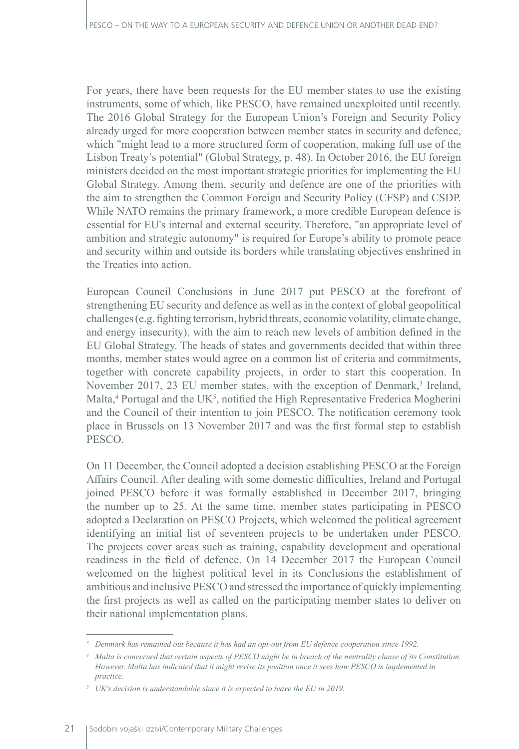For years, there have been requests for the EU member states to use the existing instruments, some of which, like PESCO, have remained unexploited until recently. The 2016 Global Strategy for the European Union's Foreign and Security Policy already urged for more cooperation between member states in security and defence, which "might lead to a more structured form of cooperation, making full use of the Lisbon Treaty's potential" (Global Strategy, p. 48). In October 2016, the EU foreign ministers decided on the most important strategic priorities for implementing the EU Global Strategy. Among them, security and defence are one of the priorities with the aim to strengthen the Common Foreign and Security Policy (CFSP) and CSDP. While NATO remains the primary framework, a more credible European defence is essential for EU's internal and external security. Therefore, "an appropriate level of ambition and strategic autonomy" is required for Europe's ability to promote peace and security within and outside its borders while translating objectives enshrined in the Treaties into action.

European Council Conclusions in June 2017 put PESCO at the forefront of strengthening EU security and defence as well as in the context of global geopolitical challenges (e.g. fighting terrorism, hybrid threats, economic volatility, climate change, and energy insecurity), with the aim to reach new levels of ambition defined in the EU Global Strategy. The heads of states and governments decided that within three months, member states would agree on a common list of criteria and commitments, together with concrete capability projects, in order to start this cooperation. In November 2017, 23 EU member states, with the exception of Denmark,<sup>3</sup> Ireland, Malta,<sup>4</sup> Portugal and the UK<sup>5</sup>, notified the High Representative Frederica Mogherini and the Council of their intention to join PESCO. The notification ceremony took place in Brussels on 13 November 2017 and was the first formal step to establish PESCO.

On 11 December, the Council adopted a decision establishing PESCO at the Foreign Affairs Council. After dealing with some domestic difficulties, Ireland and Portugal joined PESCO before it was formally established in December 2017, bringing the number up to 25. At the same time, member states participating in PESCO adopted a Declaration on PESCO Projects, which welcomed the political agreement identifying an initial list of seventeen projects to be undertaken under PESCO. The projects cover areas such as training, capability development and operational readiness in the field of defence. On 14 December 2017 the European Council welcomed on the highest political level in its Conclusions the establishment of ambitious and inclusive PESCO and stressed the importance of quickly implementing the first projects as well as called on the participating member states to deliver on their national implementation plans.

*<sup>3</sup> Denmark has remained out because it has had an opt-out from EU defence cooperation since 1992.*

*<sup>4</sup> Malta is concerned that certain aspects of PESCO might be in breach of the neutrality clause of its Constitution. However, Malta has indicated that it might revise its position once it sees how PESCO is implemented in practice.*

*<sup>5</sup> UK's decision is understandable since it is expected to leave the EU in 2019.*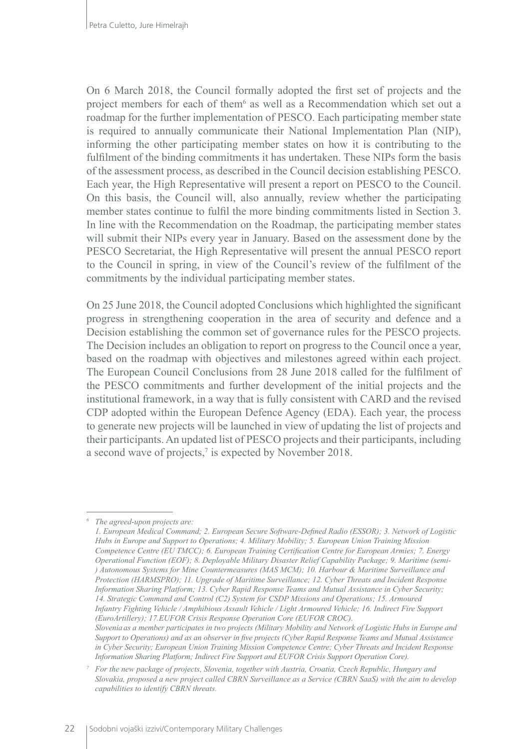On 6 March 2018, the Council formally adopted the first set of [projects and the](http://data.consilium.europa.eu/doc/document/ST-6393-2018-INIT/en/pdf) project members for each of them<sup>6</sup> as well as a Recommendation which set out a [roadmap](http://data.consilium.europa.eu/doc/document/ST-6588-2018-REV-1/en/pdf) for the further implementation of PESCO. Each participating member state is required to annually communicate their National Implementation Plan (NIP), informing the other participating member states on how it is contributing to the fulfilment of the binding commitments it has undertaken. These NIPs form the basis of the assessment process, as described in the Council decision establishing PESCO. Each year, the High Representative will present a report on PESCO to the Council. On this basis, the Council will, also annually, review whether the participating member states continue to fulfil the more binding commitments listed in Section 3. In line with the Recommendation on the Roadmap, the participating member states will submit their NIPs every year in January. Based on the assessment done by the PESCO Secretariat, the High Representative will present the annual PESCO report to the Council in spring, in view of the Council's review of the fulfilment of the commitments by the individual participating member states.

On 25 June 2018, the Council adopted Conclusions which highlighted the significant progress in strengthening cooperation in the area of security and defence and a Decision establishing the common set of governance rules for the PESCO projects. The Decision includes an obligation to report on progress to the Council once a year, based on the roadmap with objectives and milestones agreed within each project. The European Council Conclusions from 28 June 2018 called for the fulfilment of the PESCO commitments and further development of the initial projects and the institutional framework, in a way that is fully consistent with CARD and the revised CDP adopted within the European Defence Agency (EDA). Each year, the process to generate new projects will be launched in view of updating the list of projects and their participants. An updated list of PESCO projects and their participants, including a second wave of projects, $\frac{7}{1}$  is expected by November 2018.

*<sup>6</sup> The agreed-upon projects are:* 

*<sup>1.</sup> European Medical Command; 2. European Secure Software-Defined Radio (ESSOR); 3. Network of Logistic Hubs in Europe and Support to Operations; 4. Military Mobility; 5. European Union Training Mission Competence Centre (EU TMCC); 6. European Training Certification Centre for European Armies; 7. Energy Operational Function (EOF); 8. Deployable Military Disaster Relief Capability Package; 9. Maritime (semi- ) Autonomous Systems for Mine Countermeasures (MAS MCM); 10. Harbour & Maritime Surveillance and Protection (HARMSPRO); 11. Upgrade of Maritime Surveillance; 12. Cyber Threats and Incident Response Information Sharing Platform; 13. Cyber Rapid Response Teams and Mutual Assistance in Cyber Security; 14. Strategic Command and Control (C2) System for CSDP Missions and Operations; 15. Armoured Infantry Fighting Vehicle / Amphibious Assault Vehicle / Light Armoured Vehicle; 16. Indirect Fire Support (EuroArtillery); 17.EUFOR Crisis Response Operation Core (EUFOR CROC). Slovenia as a member participates in two projects (Military Mobility and Network of Logistic Hubs in Europe and* 

*Support to Operations) and as an observer in five projects (Cyber Rapid Response Teams and Mutual Assistance in Cyber Security; European Union Training Mission Competence Centre; Cyber Threats and Incident Response Information Sharing Platform; Indirect Fire Support and EUFOR Crisis Support Operation Core).*

*<sup>7</sup> For the new package of projects, Slovenia, together with Austria, Croatia, Czech Republic, Hungary and Slovakia, proposed a new project called CBRN Surveillance as a Service (CBRN SaaS) with the aim to develop capabilities to identify CBRN threats.*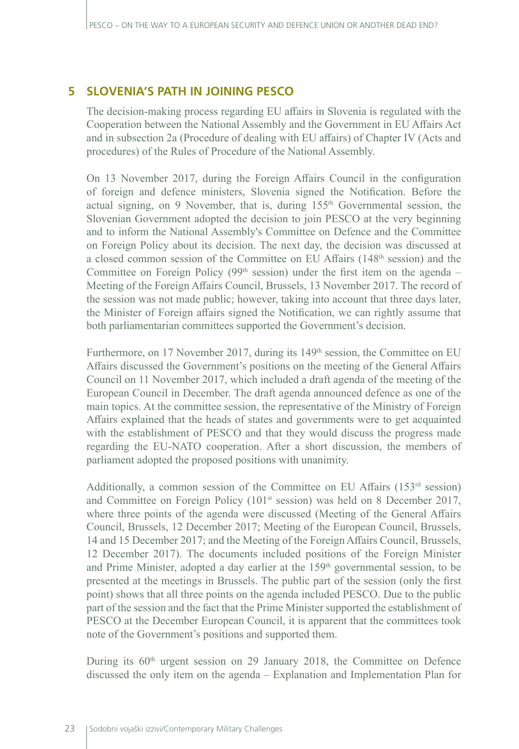# **5 SLOVENIA'S PATH IN JOINING PESCO**

The decision-making process regarding EU affairs in Slovenia is regulated with the Cooperation between the National Assembly and the Government in EU Affairs Act and in subsection 2a (Procedure of dealing with EU affairs) of Chapter IV (Acts and procedures) of the Rules of Procedure of the National Assembly.

On 13 November 2017, during the Foreign Affairs Council in the configuration of foreign and defence ministers, Slovenia signed the Notification. Before the actual signing, on 9 November, that is, during 155th Governmental session, the Slovenian Government adopted the decision to join PESCO at the very beginning and to inform the National Assembly's Committee on Defence and the Committee on Foreign Policy about its decision. The next day, the decision was discussed at a closed common session of the Committee on EU Affairs  $(148<sup>th</sup>$  session) and the Committee on Foreign Policy (99<sup>th</sup> session) under the first item on the agenda  $-$ Meeting of the Foreign Affairs Council, Brussels, 13 November 2017. The record of the session was not made public; however, taking into account that three days later, the Minister of Foreign affairs signed the Notification, we can rightly assume that both parliamentarian committees supported the Government's decision.

Furthermore, on 17 November 2017, during its 149<sup>th</sup> session, the Committee on EU Affairs discussed the Government's positions on the meeting of the General Affairs Council on 11 November 2017, which included a draft agenda of the meeting of the European Council in December. The draft agenda announced defence as one of the main topics. At the committee session, the representative of the Ministry of Foreign Affairs explained that the heads of states and governments were to get acquainted with the establishment of PESCO and that they would discuss the progress made regarding the EU-NATO cooperation. After a short discussion, the members of parliament adopted the proposed positions with unanimity.

Additionally, a common session of the Committee on EU Affairs (153rd session) and Committee on Foreign Policy (101<sup>st</sup> session) was held on 8 December 2017, where three points of the agenda were discussed (Meeting of the General Affairs Council, Brussels, 12 December 2017; Meeting of the European Council, Brussels, 14 and 15 December 2017; and the Meeting of the Foreign Affairs Council, Brussels, 12 December 2017). The documents included positions of the Foreign Minister and Prime Minister, adopted a day earlier at the 159<sup>th</sup> governmental session, to be presented at the meetings in Brussels. The public part of the session (only the first point) shows that all three points on the agenda included PESCO. Due to the public part of the session and the fact that the Prime Minister supported the establishment of PESCO at the December European Council, it is apparent that the committees took note of the Government's positions and supported them.

During its  $60<sup>th</sup>$  urgent session on 29 January 2018, the Committee on Defence discussed the only item on the agenda – Explanation and Implementation Plan for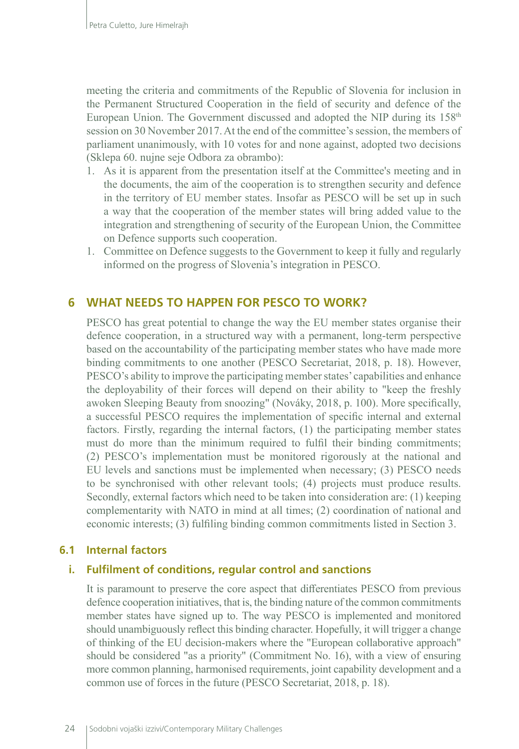meeting the criteria and commitments of the Republic of Slovenia for inclusion in the Permanent Structured Cooperation in the field of security and defence of the European Union. The Government discussed and adopted the NIP during its  $158<sup>th</sup>$ session on 30 November 2017. At the end of the committee's session, the members of parliament unanimously, with 10 votes for and none against, adopted two decisions (Sklepa 60. nujne seje Odbora za obrambo):

- 1. As it is apparent from the presentation itself at the Committee's meeting and in the documents, the aim of the cooperation is to strengthen security and defence in the territory of EU member states. Insofar as PESCO will be set up in such a way that the cooperation of the member states will bring added value to the integration and strengthening of security of the European Union, the Committee on Defence supports such cooperation.
- 1. Committee on Defence suggests to the Government to keep it fully and regularly informed on the progress of Slovenia's integration in PESCO.

## **6 WHAT NEEDS TO HAPPEN FOR PESCO TO WORK?**

PESCO has great potential to change the way the EU member states organise their defence cooperation, in a structured way with a permanent, long-term perspective based on the accountability of the participating member states who have made more binding commitments to one another (PESCO Secretariat, 2018, p. 18). However, PESCO's ability to improve the participating member states' capabilities and enhance the deployability of their forces will depend on their ability to "keep the freshly awoken Sleeping Beauty from snoozing" (Nováky, 2018, p. 100). More specifically, a successful PESCO requires the implementation of specific internal and external factors. Firstly, regarding the internal factors, (1) the participating member states must do more than the minimum required to fulfil their binding commitments; (2) PESCO's implementation must be monitored rigorously at the national and EU levels and sanctions must be implemented when necessary; (3) PESCO needs to be synchronised with other relevant tools; (4) projects must produce results. Secondly, external factors which need to be taken into consideration are: (1) keeping complementarity with NATO in mind at all times; (2) coordination of national and economic interests; (3) fulfiling binding common commitments listed in Section 3.

#### **6.1 Internal factors**

#### **i. Fulfilment of conditions, regular control and sanctions**

It is paramount to preserve the core aspect that differentiates PESCO from previous defence cooperation initiatives, that is, the binding nature of the common commitments member states have signed up to. The way PESCO is implemented and monitored should unambiguously reflect this binding character. Hopefully, it will trigger a change of thinking of the EU decision-makers where the "European collaborative approach" should be considered "as a priority" (Commitment No. 16), with a view of ensuring more common planning, harmonised requirements, joint capability development and a common use of forces in the future (PESCO Secretariat, 2018, p. 18).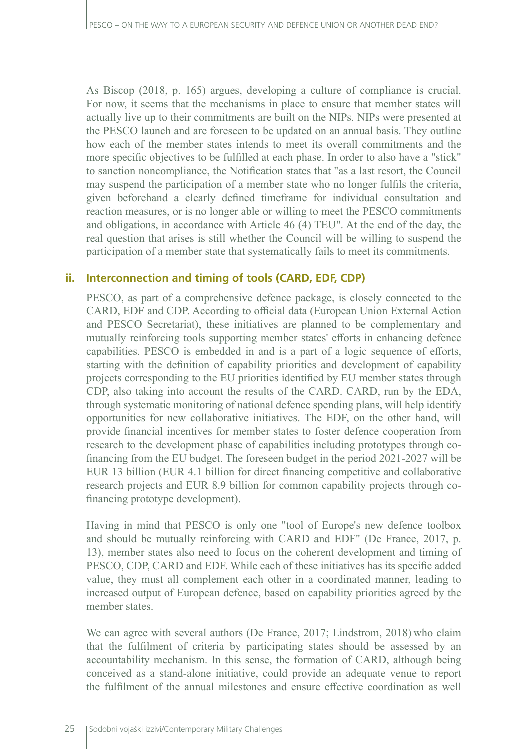As Biscop (2018, p. 165) argues, developing a culture of compliance is crucial. For now, it seems that the mechanisms in place to ensure that member states will actually live up to their commitments are built on the NIPs. NIPs were presented at the PESCO launch and are foreseen to be updated on an annual basis. They outline how each of the member states intends to meet its overall commitments and the more specific objectives to be fulfilled at each phase. In order to also have a "stick" to sanction noncompliance, the Notification states that "as a last resort, the Council may suspend the participation of a member state who no longer fulfils the criteria, given beforehand a clearly defined timeframe for individual consultation and reaction measures, or is no longer able or willing to meet the PESCO commitments and obligations, in accordance with Article 46 (4) TEU". At the end of the day, the real question that arises is still whether the Council will be willing to suspend the participation of a member state that systematically fails to meet its commitments.

#### **ii. Interconnection and timing of tools (CARD, EDF, CDP)**

PESCO, as part of a comprehensive defence package, is closely connected to the [CARD,](https://eeas.europa.eu/headquarters/headquarters-Homepage/36453/coordinated-annual-review-defence-card_en) EDF and CDP. According to official data (European Union External Action and PESCO Secretariat), these initiatives are planned to be complementary and mutually reinforcing tools supporting member states' efforts in enhancing defence capabilities. PESCO is embedded in and is a part of a logic sequence of efforts, starting with the definition of capability priorities and development of capability projects corresponding to the EU priorities identified by EU member states through CDP, also taking into account the results of the CARD. CARD, run by the EDA, through systematic monitoring of national defence spending plans, will help identify opportunities for new collaborative initiatives. The EDF, on the other hand, will provide financial incentives for member states to foster defence cooperation from research to the development phase of capabilities including prototypes through cofinancing from the EU budget. The foreseen budget in the period 2021-2027 will be EUR 13 billion (EUR 4.1 billion for direct financing competitive and collaborative research projects and EUR 8.9 billion for common capability projects through cofinancing prototype development).

Having in mind that PESCO is only one "tool of Europe's new defence toolbox and should be mutually reinforcing with CARD and EDF" (De France, 2017, p. 13), member states also need to focus on the coherent development and timing of PESCO, CDP, CARD and EDF. While each of these initiatives has its specific added value, they must all complement each other in a coordinated manner, leading to increased output of European defence, based on capability priorities agreed by the member states.

We can agree with several authors (De France, 2017; Lindstrom, 2018) who claim that the fulfilment of criteria by participating states should be assessed by an accountability mechanism. In this sense, the formation of CARD, although being conceived as a stand-alone initiative, could provide an adequate venue to report the fulfilment of the annual milestones and ensure effective coordination as well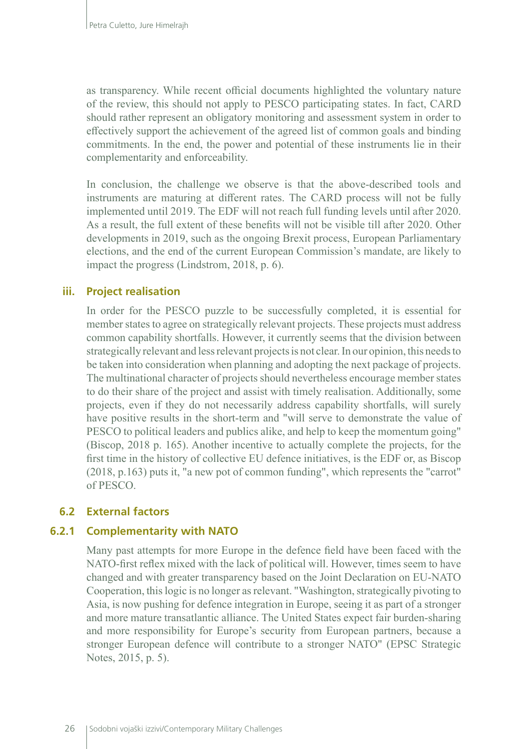as transparency. While recent official documents highlighted the voluntary nature of the review, this should not apply to PESCO participating states. In fact, CARD should rather represent an obligatory monitoring and assessment system in order to effectively support the achievement of the agreed list of common goals and binding commitments. In the end, the power and potential of these instruments lie in their complementarity and enforceability.

In conclusion, the challenge we observe is that the above-described tools and instruments are maturing at different rates. The CARD process will not be fully implemented until 2019. The EDF will not reach full funding levels until after 2020. As a result, the full extent of these benefits will not be visible till after 2020. Other developments in 2019, such as the ongoing Brexit process, European Parliamentary elections, and the end of the current European Commission's mandate, are likely to impact the progress (Lindstrom, 2018, p. 6).

## **iii. Project realisation**

In order for the PESCO puzzle to be successfully completed, it is essential for member states to agree on strategically relevant projects. These projects must address common capability shortfalls. However, it currently seems that the division between strategically relevant and less relevant projects is not clear. In our opinion, this needs to be taken into consideration when planning and adopting the next package of projects. The multinational character of projects should nevertheless encourage member states to do their share of the project and assist with timely realisation. Additionally, some projects, even if they do not necessarily address capability shortfalls, will surely have positive results in the short-term and "will serve to demonstrate the value of PESCO to political leaders and publics alike, and help to keep the momentum going" (Biscop, 2018 p. 165). Another incentive to actually complete the projects, for the first time in the history of collective EU defence initiatives, is the EDF or, as Biscop (2018, p.163) puts it, "a new pot of common funding", which represents the "carrot" of PESCO.

## **6.2 External factors**

## **6.2.1 Complementarity with NATO**

Many past attempts for more Europe in the defence field have been faced with the NATO-first reflex mixed with the lack of political will. However, times seem to have changed and with greater transparency based on the Joint Declaration on EU-NATO Cooperation, this logic is no longer as relevant. "Washington, strategically pivoting to Asia, is now pushing for defence integration in Europe, seeing it as part of a stronger and more mature transatlantic alliance. The United States expect fair burden-sharing and more responsibility for Europe's security from European partners, because a stronger European defence will contribute to a stronger NATO" (EPSC Strategic Notes, 2015, p. 5).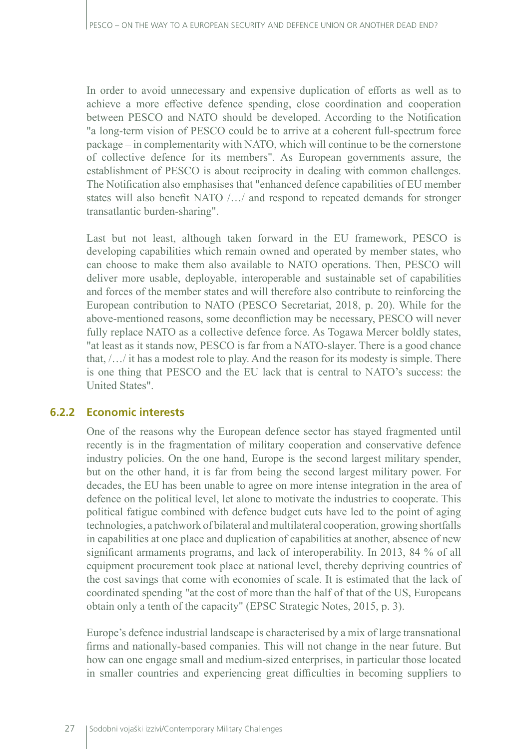In order to avoid unnecessary and expensive duplication of efforts as well as to achieve a more effective defence spending, close coordination and cooperation between PESCO and NATO should be developed. According to the Notification "a long-term vision of PESCO could be to arrive at a coherent full-spectrum force package – in complementarity with NATO, which will continue to be the cornerstone of collective defence for its members". As European governments assure, the establishment of PESCO is about reciprocity in dealing with common challenges. The Notification also emphasises that "enhanced defence capabilities of EU member states will also benefit NATO /…/ and respond to repeated demands for stronger transatlantic burden-sharing".

Last but not least, although taken forward in the EU framework, PESCO is developing capabilities which remain owned and operated by member states, who can choose to make them also available to NATO operations. Then, PESCO will deliver more usable, deployable, interoperable and sustainable set of capabilities and forces of the member states and will therefore also contribute to reinforcing the European contribution to NATO (PESCO Secretariat, 2018, p. 20). While for the above-mentioned reasons, some deconfliction may be necessary, PESCO will never fully replace NATO as a collective defence force. As Togawa Mercer boldly states, "at least as it stands now, PESCO is far from a NATO-slayer. There is a good chance that, /…/ it has a modest role to play. And the reason for its modesty is simple. There is one thing that PESCO and the EU lack that is central to NATO's success: the United States".

#### **6.2.2 Economic interests**

One of the reasons why the European defence sector has stayed fragmented until recently is in the fragmentation of military cooperation and conservative defence industry policies. On the one hand, Europe is the second largest military spender, but on the other hand, it is far from being the second largest military power. For decades, the EU has been unable to agree on more intense integration in the area of defence on the political level, let alone to motivate the industries to cooperate. This political fatigue combined with defence budget cuts have led to the point of aging technologies, a patchwork of bilateral and multilateral cooperation, growing shortfalls in capabilities at one place and duplication of capabilities at another, absence of new significant armaments programs, and lack of interoperability. In 2013, 84 % of all equipment procurement took place at national level, thereby depriving countries of the cost savings that come with economies of scale. It is estimated that the lack of coordinated spending "at the cost of more than the half of that of the US, Europeans obtain only a tenth of the capacity" (EPSC Strategic Notes, 2015, p. 3).

Europe's defence industrial landscape is characterised by a mix of large transnational firms and nationally-based companies. This will not change in the near future. But how can one engage small and medium-sized enterprises, in particular those located in smaller countries and experiencing great difficulties in becoming suppliers to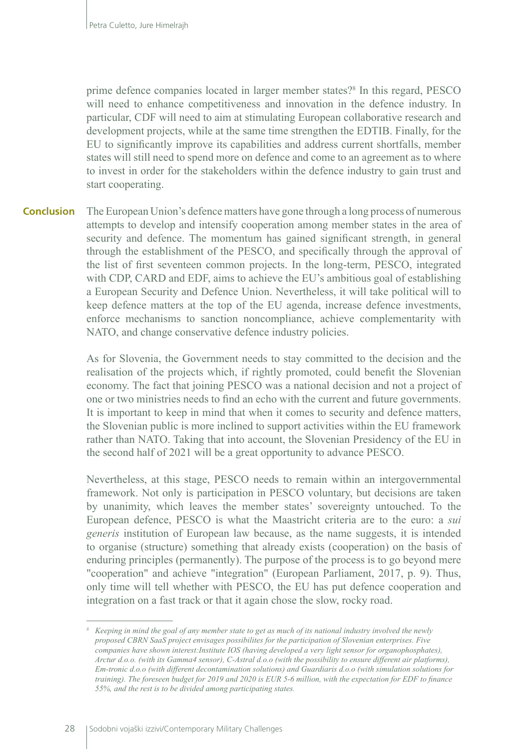prime defence companies located in larger member states?8 In this regard, PESCO will need to enhance competitiveness and innovation in the defence industry. In particular, CDF will need to aim at stimulating European collaborative research and development projects, while at the same time strengthen the EDTIB. Finally, for the EU to significantly improve its capabilities and address current shortfalls, member states will still need to spend more on defence and come to an agreement as to where to invest in order for the stakeholders within the defence industry to gain trust and start cooperating.

The European Union's defence matters have gone through a long process of numerous attempts to develop and intensify cooperation among member states in the area of security and defence. The momentum has gained significant strength, in general through the establishment of the PESCO, and specifically through the approval of the list of first seventeen common projects. In the long-term, PESCO, integrated with CDP, CARD and EDF, aims to achieve the EU's ambitious goal of establishing a European Security and Defence Union. Nevertheless, it will take political will to keep defence matters at the top of the EU agenda, increase defence investments, enforce mechanisms to sanction noncompliance, achieve complementarity with NATO, and change conservative defence industry policies. **Conclusion**

> As for Slovenia, the Government needs to stay committed to the decision and the realisation of the projects which, if rightly promoted, could benefit the Slovenian economy. The fact that joining PESCO was a national decision and not a project of one or two ministries needs to find an echo with the current and future governments. It is important to keep in mind that when it comes to security and defence matters, the Slovenian public is more inclined to support activities within the EU framework rather than NATO. Taking that into account, the Slovenian Presidency of the EU in the second half of 2021 will be a great opportunity to advance PESCO.

> Nevertheless, at this stage, PESCO needs to remain within an intergovernmental framework. Not only is participation in PESCO voluntary, but decisions are taken by unanimity, which leaves the member states' sovereignty untouched. To the European defence, PESCO is what the Maastricht criteria are to the euro: a *sui generis* institution of European law because, as the name suggests, it is intended to organise (structure) something that already exists (cooperation) on the basis of enduring principles (permanently). The purpose of the process is to go beyond mere "cooperation" and achieve "integration" (European Parliament, 2017, p. 9). Thus, only time will tell whether with PESCO, the EU has put defence cooperation and integration on a fast track or that it again chose the slow, rocky road.

*<sup>8</sup> Keeping in mind the goal of any member state to get as much of its national industry involved the newly proposed CBRN SaaS project envisages possibilites for the participation of Slovenian enterprises. Five companies have shown interest:Institute IOS (having developed a very light sensor for organophosphates), Arctur d.o.o. (with its Gamma4 sensor), C-Astral d.o.o (with the possibility to ensure different air platforms), Em-tronic d.o.o (with different decontamination solutions) and Guardiaris d.o.o (with simulation solutions for training). The foreseen budget for 2019 and 2020 is EUR 5-6 million, with the expectation for EDF to finance 55%, and the rest is to be divided among participating states.*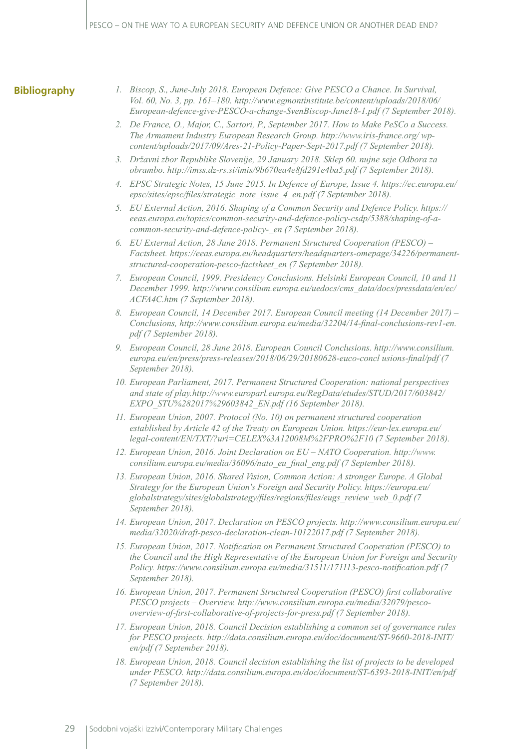#### **Bibliography**

- *1. Biscop, S., June-July 2018. European Defence: Give PESCO a Chance. In Survival, Vol. 60, No. 3, pp. 161–180. http://www.egmontinstitute.be/content/uploads/2018/06/ European-defence-give-PESCO-a-change-SvenBiscop-June18-1.pdf (7 September 2018).*
- *2. De France, O., Major, C., Sartori, P., September 2017. How to Make PeSCo a Success. The Armament Industry European Research Group. http://www.iris-france.org/ wpcontent/uploads/2017/09/Ares-21-Policy-Paper-Sept-2017.pdf (7 September 2018).*
- *3. Državni zbor Republike Slovenije, 29 January 2018. Sklep 60. nujne seje Odbora za obrambo. http://imss.dz-rs.si/imis/9b670ea4e8fd291e4ba5.pdf (7 September 2018).*
- *4. EPSC Strategic Notes, 15 June 2015. In Defence of Europe, Issue 4. https://ec.europa.eu/ epsc/sites/epsc/files/strategic\_note\_issue\_4\_en.pdf (7 September 2018).*
- *5. EU External Action, 2016. Shaping of a Common Security and Defence Policy. https:// eeas.europa.eu/topics/common-security-and-defence-policy-csdp/5388/shaping-of-acommon-security-and-defence-policy-\_en (7 September 2018).*
- *6. EU External Action, 28 June 2018. Permanent Structured Cooperation (PESCO) Factsheet. https://eeas.europa.eu/headquarters/headquarters-omepage/34226/permanentstructured-cooperation-pesco-factsheet\_en (7 September 2018).*
- *7. European Council, 1999. Presidency Conclusions. Helsinki European Council, 10 and 11 December 1999. http://www.consilium.europa.eu/uedocs/cms\_data/docs/pressdata/en/ec/ ACFA4C.htm (7 September 2018).*
- *8. European Council, 14 December 2017. European Council meeting (14 December 2017) Conclusions, http://www.consilium.europa.eu/media/32204/14-final-conclusions-rev1-en. pdf (7 September 2018).*
- *9. European Council, 28 June 2018. European Council Conclusions. http://www.consilium. europa.eu/en/press/press-releases/2018/06/29/20180628-euco-concl usions-final/pdf (7 September 2018).*
- *10. European Parliament, 2017. Permanent Structured Cooperation: national perspectives and state of play.http://www.europarl.europa.eu/RegData/etudes/STUD/2017/603842/ EXPO\_STU%282017%29603842\_EN.pdf (16 September 2018).*
- *11. European Union, 2007. Protocol (No. 10) on permanent structured cooperation established by Article 42 of the Treaty on European Union. https://eur-lex.europa.eu/ legal-content/EN/TXT/?uri=CELEX%3A12008M%2FPRO%2F10 (7 September 2018).*
- *12. European Union, 2016. Joint Declaration on EU NATO Cooperation. http://www. consilium.europa.eu/media/36096/nato\_eu\_final\_eng.pdf (7 September 2018).*
- *13. European Union, 2016. Shared Vision, Common Action: A stronger Europe. A Global Strategy for the European Union's Foreign and Security Policy. https://europa.eu/ globalstrategy/sites/globalstrategy/files/regions/files/eugs\_review\_web\_0.pdf (7 September 2018).*
- *14. European Union, 2017. Declaration on PESCO projects. http://www.consilium.europa.eu/ media/32020/draft-pesco-declaration-clean-10122017.pdf (7 September 2018).*
- *15. European Union, 2017. Notification on Permanent Structured Cooperation (PESCO) to the Council and the High Representative of the European Union for Foreign and Security Policy. https://www.consilium.europa.eu/media/31511/171113-pesco-notification.pdf (7 September 2018).*
- *16. European Union, 2017. Permanent Structured Cooperation (PESCO) first collaborative PESCO projects – Overview. http://www.consilium.europa.eu/media/32079/pescooverview-of-first-collaborative-of-projects-for-press.pdf (7 September 2018).*
- *17. European Union, 2018. Council Decision establishing a common set of governance rules for PESCO projects. http://data.consilium.europa.eu/doc/document/ST-9660-2018-INIT/ en/pdf (7 September 2018).*
- *18. European Union, 2018. Council decision establishing the list of projects to be developed under PESCO. http://data.consilium.europa.eu/doc/document/ST-6393-2018-INIT/en/pdf (7 September 2018).*